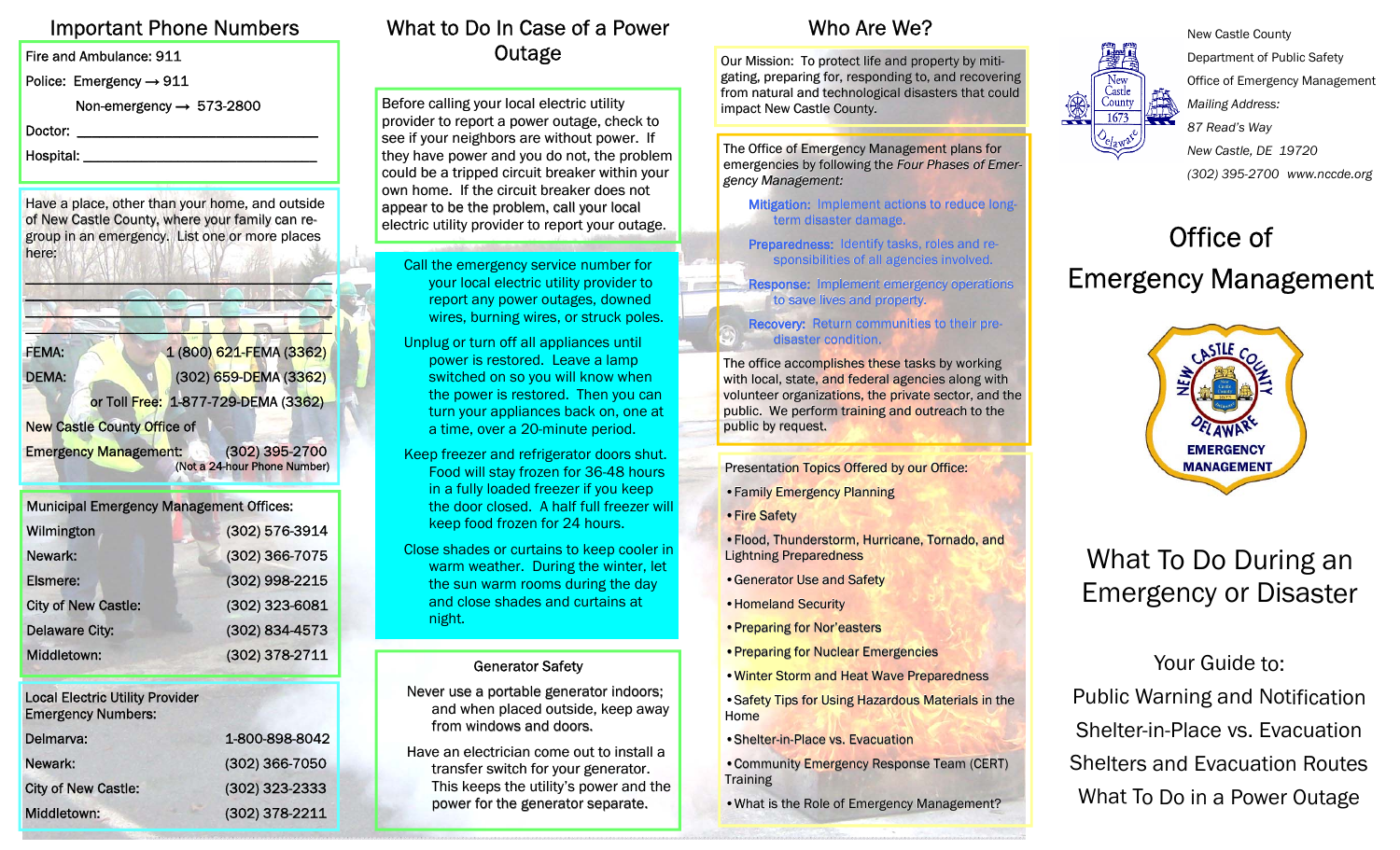# Important Phone Numbers

Fire and Ambulance: 911

Police: Emergency → 911

Non-emergency → 573-2800

Doctor:

Hospital: \_\_\_\_\_\_\_\_\_\_\_\_\_\_\_\_\_\_\_\_\_\_\_\_\_\_\_\_\_\_\_\_

Have a place, other than your home, and outside of New Castle County, where your family can regroup in an emergency. List one or more places here:

FEMA: 1 (800) 621-FEMA (3362) DEMA: (302) 659-DEMA (3362) or Toll Free: 1-877-729-DEMA (3362) New Castle County Office of

\_\_\_\_\_\_\_\_\_\_\_\_\_\_\_\_\_\_\_\_\_\_\_\_\_\_\_\_\_\_\_\_\_\_\_\_\_\_\_\_\_\_

Emergency Management: (302) 395-2700 (Not a 24-hour Phone Number)

| <b>Municipal Emergency Management Offices:</b> |                |
|------------------------------------------------|----------------|
| Wilmington                                     | (302) 576-3914 |
| Newark:                                        | (302) 366-7075 |
| <b>Elsmere:</b>                                | (302) 998-2215 |
| <b>City of New Castle:</b>                     | (302) 323-6081 |
| <b>Delaware City:</b>                          | (302) 834-4573 |
| Middletown:                                    | (302) 378-2711 |

Local Electric Utility Provider Emergency Numbers:

| Delmarva:                  | 1-800-898-8042 |
|----------------------------|----------------|
| Newark:                    | (302) 366-7050 |
| <b>City of New Castle:</b> | (302) 323-2333 |
| Middletown:                | (302) 378-2211 |

### What to Do In Case of a Power **Outage**

Before calling your local electric utility provider to report a power outage, check to see if your neighbors are without power. If they have power and you do not, the problem could be a tripped circuit breaker within your own home. If the circuit breaker does not appear to be the problem, call your local electric utility provider to report your outage.

- Call the emergency service number for your local electric utility provider to report any power outages, downed wires, burning wires, or struck poles.
- Unplug or turn off all appliances until power is restored. Leave a lamp switched on so you will know when the power is restored. Then you can turn your appliances back on, one at a time, over a 20-minute period.
- Keep freezer and refrigerator doors shut. Food will stay frozen for 36-48 hours in a fully loaded freezer if you keep the door closed. A half full freezer will keep food frozen for 24 hours.
- Close shades or curtains to keep cooler in warm weather. During the winter, let the sun warm rooms during the day and close shades and curtains at night.

### Generator Safety

- Never use a portable generator indoors; and when placed outside, keep away from windows and doors.
- Have an electrician come out to install a transfer switch for your generator. This keeps the utility's power and the power for the generator separate.

### Who Are We?

Our Mission: To protect life and property by mitigating, preparing for, responding to, and recovering from natural and technological disasters that could impact New Castle County.

The Office of Emergency Management plans for emergencies by following the *Four Phases of Emergency Management: gency Management: Management:*

Mitigation: Implement actions to reduce longterm disaster damage.

Preparedness: Identify tasks, roles and responsibilities of all agencies involved.

Response: Implement emergency operations to save lives and property.

Recovery: Return communities to their predisaster condition.

The office accomplishes these tasks by working with local, state, and federal agencies along with volunteer organizations, the private sector, and the public. We perform training and outreach to the public by request.

Presentation Topics Offered by our Office:

• Family Emergency Planning

• Fire Safety

• Flood, Thunderstorm, Hurricane, Tornado, and **Lightning Preparedness** 

• Generator Use and Safety

• Homeland Security

• Preparing for Nor'easters

• Preparing for Nuclear Emergencies

• Winter Storm and Heat Wave Preparedness

• Safety Tips for Using Hazardous Materials in the Home

• Shelter-in-Place vs. Evacuation

• Community Emergency Response Team (CERT) **Training** 

• What is the Role of Emergency Management?



New Castle County Department of Public Safety Office of Emergency Management *Mailing Address: 87 Read's Way New Castle, DE 19720 (302) 395-2700 www.nccde.org*

# Office of Emergency Management



# What To Do During an Emergency or Disaster

Your Guide to: Public Warning and Notification Shelter-in-Place vs. Evacuation Shelters and Evacuation Routes What To Do in a Power Outage